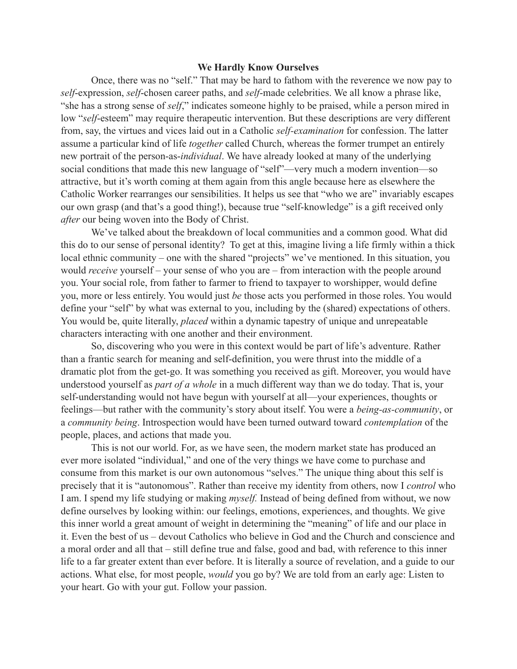## **We Hardly Know Ourselves**

Once, there was no "self." That may be hard to fathom with the reverence we now pay to *self*-expression, *self*-chosen career paths, and *self*-made celebrities. We all know a phrase like, "she has a strong sense of *self*," indicates someone highly to be praised, while a person mired in low "*self*-esteem" may require therapeutic intervention. But these descriptions are very different from, say, the virtues and vices laid out in a Catholic *self-examination* for confession. The latter assume a particular kind of life *together* called Church, whereas the former trumpet an entirely new portrait of the person-as-*individual*. We have already looked at many of the underlying social conditions that made this new language of "self"—very much a modern invention—so attractive, but it's worth coming at them again from this angle because here as elsewhere the Catholic Worker rearranges our sensibilities. It helps us see that "who we are" invariably escapes our own grasp (and that's a good thing!), because true "self-knowledge" is a gift received only *after* our being woven into the Body of Christ.

We've talked about the breakdown of local communities and a common good. What did this do to our sense of personal identity? To get at this, imagine living a life firmly within a thick local ethnic community – one with the shared "projects" we've mentioned. In this situation, you would *receive* yourself – your sense of who you are – from interaction with the people around you. Your social role, from father to farmer to friend to taxpayer to worshipper, would define you, more or less entirely. You would just *be* those acts you performed in those roles. You would define your "self" by what was external to you, including by the (shared) expectations of others. You would be, quite literally, *placed* within a dynamic tapestry of unique and unrepeatable characters interacting with one another and their environment.

So, discovering who you were in this context would be part of life's adventure. Rather than a frantic search for meaning and self-definition, you were thrust into the middle of a dramatic plot from the get-go. It was something you received as gift. Moreover, you would have understood yourself as *part of a whole* in a much different way than we do today. That is, your self-understanding would not have begun with yourself at all—your experiences, thoughts or feelings—but rather with the community's story about itself. You were a *being-as-community*, or a *community being*. Introspection would have been turned outward toward *contemplation* of the people, places, and actions that made you.

This is not our world. For, as we have seen, the modern market state has produced an ever more isolated "individual," and one of the very things we have come to purchase and consume from this market is our own autonomous "selves." The unique thing about this self is precisely that it is "autonomous". Rather than receive my identity from others, now I *control* who I am. I spend my life studying or making *myself.* Instead of being defined from without, we now define ourselves by looking within: our feelings, emotions, experiences, and thoughts. We give this inner world a great amount of weight in determining the "meaning" of life and our place in it. Even the best of us – devout Catholics who believe in God and the Church and conscience and a moral order and all that – still define true and false, good and bad, with reference to this inner life to a far greater extent than ever before. It is literally a source of revelation, and a guide to our actions. What else, for most people, *would* you go by? We are told from an early age: Listen to your heart. Go with your gut. Follow your passion.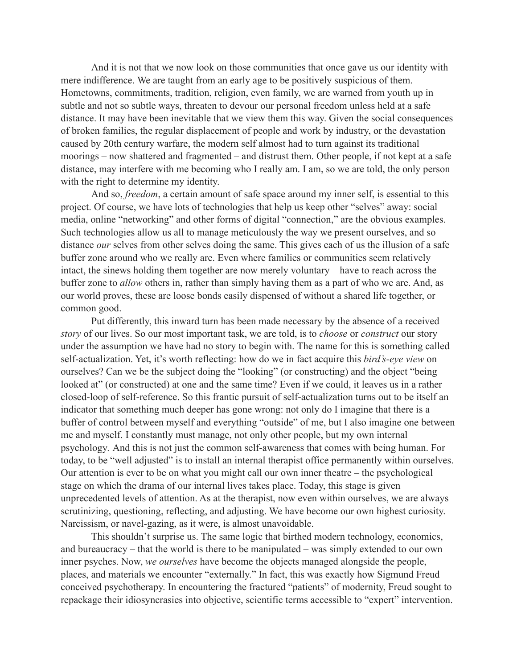And it is not that we now look on those communities that once gave us our identity with mere indifference. We are taught from an early age to be positively suspicious of them. Hometowns, commitments, tradition, religion, even family, we are warned from youth up in subtle and not so subtle ways, threaten to devour our personal freedom unless held at a safe distance. It may have been inevitable that we view them this way. Given the social consequences of broken families, the regular displacement of people and work by industry, or the devastation caused by 20th century warfare, the modern self almost had to turn against its traditional moorings – now shattered and fragmented – and distrust them. Other people, if not kept at a safe distance, may interfere with me becoming who I really am. I am, so we are told, the only person with the right to determine my identity.

And so, *freedom*, a certain amount of safe space around my inner self, is essential to this project. Of course, we have lots of technologies that help us keep other "selves" away: social media, online "networking" and other forms of digital "connection," are the obvious examples. Such technologies allow us all to manage meticulously the way we present ourselves, and so distance *our* selves from other selves doing the same. This gives each of us the illusion of a safe buffer zone around who we really are. Even where families or communities seem relatively intact, the sinews holding them together are now merely voluntary – have to reach across the buffer zone to *allow* others in, rather than simply having them as a part of who we are. And, as our world proves, these are loose bonds easily dispensed of without a shared life together, or common good.

Put differently, this inward turn has been made necessary by the absence of a received *story* of our lives. So our most important task, we are told, is to *choose* or *construct* our story under the assumption we have had no story to begin with. The name for this is something called self-actualization. Yet, it's worth reflecting: how do we in fact acquire this *bird's-eye view* on ourselves? Can we be the subject doing the "looking" (or constructing) and the object "being looked at" (or constructed) at one and the same time? Even if we could, it leaves us in a rather closed-loop of self-reference. So this frantic pursuit of self-actualization turns out to be itself an indicator that something much deeper has gone wrong: not only do I imagine that there is a buffer of control between myself and everything "outside" of me, but I also imagine one between me and myself. I constantly must manage, not only other people, but my own internal psychology*.* And this is not just the common self-awareness that comes with being human. For today, to be "well adjusted" is to install an internal therapist office permanently within ourselves. Our attention is ever to be on what you might call our own inner theatre – the psychological stage on which the drama of our internal lives takes place. Today, this stage is given unprecedented levels of attention. As at the therapist, now even within ourselves, we are always scrutinizing, questioning, reflecting, and adjusting. We have become our own highest curiosity. Narcissism, or navel-gazing, as it were, is almost unavoidable.

This shouldn't surprise us. The same logic that birthed modern technology, economics, and bureaucracy – that the world is there to be manipulated – was simply extended to our own inner psyches. Now, *we ourselves* have become the objects managed alongside the people, places, and materials we encounter "externally." In fact, this was exactly how Sigmund Freud conceived psychotherapy. In encountering the fractured "patients" of modernity, Freud sought to repackage their idiosyncrasies into objective, scientific terms accessible to "expert" intervention.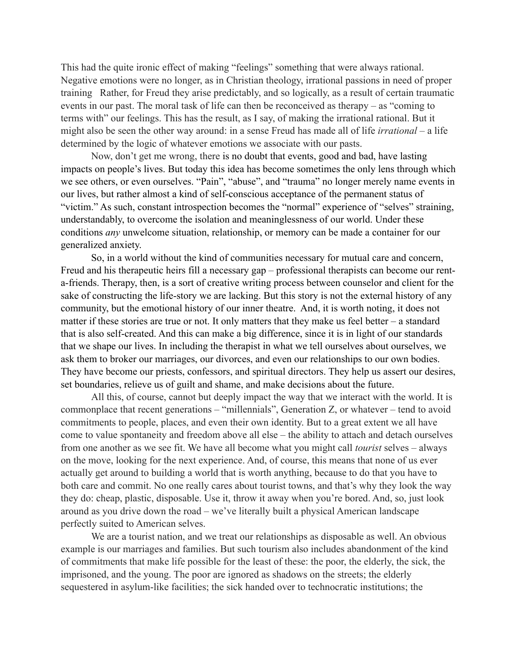This had the quite ironic effect of making "feelings" something that were always rational. Negative emotions were no longer, as in Christian theology, irrational passions in need of proper training Rather, for Freud they arise predictably, and so logically, as a result of certain traumatic events in our past. The moral task of life can then be reconceived as therapy – as "coming to terms with" our feelings. This has the result, as I say, of making the irrational rational. But it might also be seen the other way around: in a sense Freud has made all of life *irrational* – a life determined by the logic of whatever emotions we associate with our pasts.

Now, don't get me wrong, there is no doubt that events, good and bad, have lasting impacts on people's lives. But today this idea has become sometimes the only lens through which we see others, or even ourselves. "Pain", "abuse", and "trauma" no longer merely name events in our lives, but rather almost a kind of self-conscious acceptance of the permanent status of "victim." As such, constant introspection becomes the "normal" experience of "selves" straining, understandably, to overcome the isolation and meaninglessness of our world. Under these conditions *any* unwelcome situation, relationship, or memory can be made a container for our generalized anxiety.

So, in a world without the kind of communities necessary for mutual care and concern, Freud and his therapeutic heirs fill a necessary gap – professional therapists can become our renta-friends. Therapy, then, is a sort of creative writing process between counselor and client for the sake of constructing the life-story we are lacking. But this story is not the external history of any community, but the emotional history of our inner theatre. And, it is worth noting, it does not matter if these stories are true or not. It only matters that they make us feel better – a standard that is also self-created. And this can make a big difference, since it is in light of our standards that we shape our lives. In including the therapist in what we tell ourselves about ourselves, we ask them to broker our marriages, our divorces, and even our relationships to our own bodies. They have become our priests, confessors, and spiritual directors. They help us assert our desires, set boundaries, relieve us of guilt and shame, and make decisions about the future.

All this, of course, cannot but deeply impact the way that we interact with the world. It is commonplace that recent generations – "millennials", Generation Z, or whatever – tend to avoid commitments to people, places, and even their own identity. But to a great extent we all have come to value spontaneity and freedom above all else – the ability to attach and detach ourselves from one another as we see fit. We have all become what you might call *tourist* selves *–* always on the move, looking for the next experience. And, of course, this means that none of us ever actually get around to building a world that is worth anything, because to do that you have to both care and commit. No one really cares about tourist towns, and that's why they look the way they do: cheap, plastic, disposable. Use it, throw it away when you're bored. And, so, just look around as you drive down the road – we've literally built a physical American landscape perfectly suited to American selves.

We are a tourist nation, and we treat our relationships as disposable as well. An obvious example is our marriages and families. But such tourism also includes abandonment of the kind of commitments that make life possible for the least of these: the poor, the elderly, the sick, the imprisoned, and the young. The poor are ignored as shadows on the streets; the elderly sequestered in asylum-like facilities; the sick handed over to technocratic institutions; the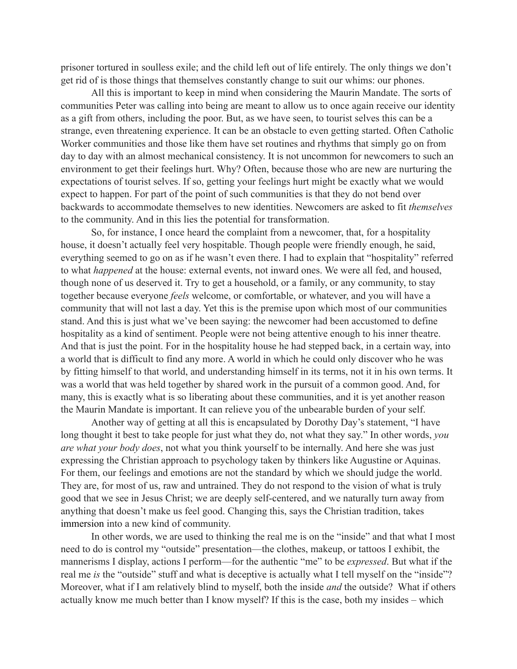prisoner tortured in soulless exile; and the child left out of life entirely. The only things we don't get rid of is those things that themselves constantly change to suit our whims: our phones.

All this is important to keep in mind when considering the Maurin Mandate. The sorts of communities Peter was calling into being are meant to allow us to once again receive our identity as a gift from others, including the poor. But, as we have seen, to tourist selves this can be a strange, even threatening experience. It can be an obstacle to even getting started. Often Catholic Worker communities and those like them have set routines and rhythms that simply go on from day to day with an almost mechanical consistency. It is not uncommon for newcomers to such an environment to get their feelings hurt. Why? Often, because those who are new are nurturing the expectations of tourist selves. If so, getting your feelings hurt might be exactly what we would expect to happen. For part of the point of such communities is that they do not bend over backwards to accommodate themselves to new identities. Newcomers are asked to fit *themselves*  to the community. And in this lies the potential for transformation.

So, for instance, I once heard the complaint from a newcomer, that, for a hospitality house, it doesn't actually feel very hospitable. Though people were friendly enough, he said, everything seemed to go on as if he wasn't even there. I had to explain that "hospitality" referred to what *happened* at the house: external events, not inward ones. We were all fed, and housed, though none of us deserved it. Try to get a household, or a family, or any community, to stay together because everyone *feels* welcome, or comfortable, or whatever, and you will have a community that will not last a day. Yet this is the premise upon which most of our communities stand. And this is just what we've been saying: the newcomer had been accustomed to define hospitality as a kind of sentiment. People were not being attentive enough to his inner theatre. And that is just the point. For in the hospitality house he had stepped back, in a certain way, into a world that is difficult to find any more. A world in which he could only discover who he was by fitting himself to that world, and understanding himself in its terms, not it in his own terms. It was a world that was held together by shared work in the pursuit of a common good. And, for many, this is exactly what is so liberating about these communities, and it is yet another reason the Maurin Mandate is important. It can relieve you of the unbearable burden of your self.

Another way of getting at all this is encapsulated by Dorothy Day's statement, "I have long thought it best to take people for just what they do, not what they say." In other words, *you are what your body does*, not what you think yourself to be internally. And here she was just expressing the Christian approach to psychology taken by thinkers like Augustine or Aquinas. For them, our feelings and emotions are not the standard by which we should judge the world. They are, for most of us, raw and untrained. They do not respond to the vision of what is truly good that we see in Jesus Christ; we are deeply self-centered, and we naturally turn away from anything that doesn't make us feel good. Changing this, says the Christian tradition, takes immersion into a new kind of community.

In other words, we are used to thinking the real me is on the "inside" and that what I most need to do is control my "outside" presentation—the clothes, makeup, or tattoos I exhibit, the mannerisms I display, actions I perform—for the authentic "me" to be *expressed*. But what if the real me *is* the "outside" stuff and what is deceptive is actually what I tell myself on the "inside"? Moreover, what if I am relatively blind to myself, both the inside *and* the outside? What if others actually know me much better than I know myself? If this is the case, both my insides – which